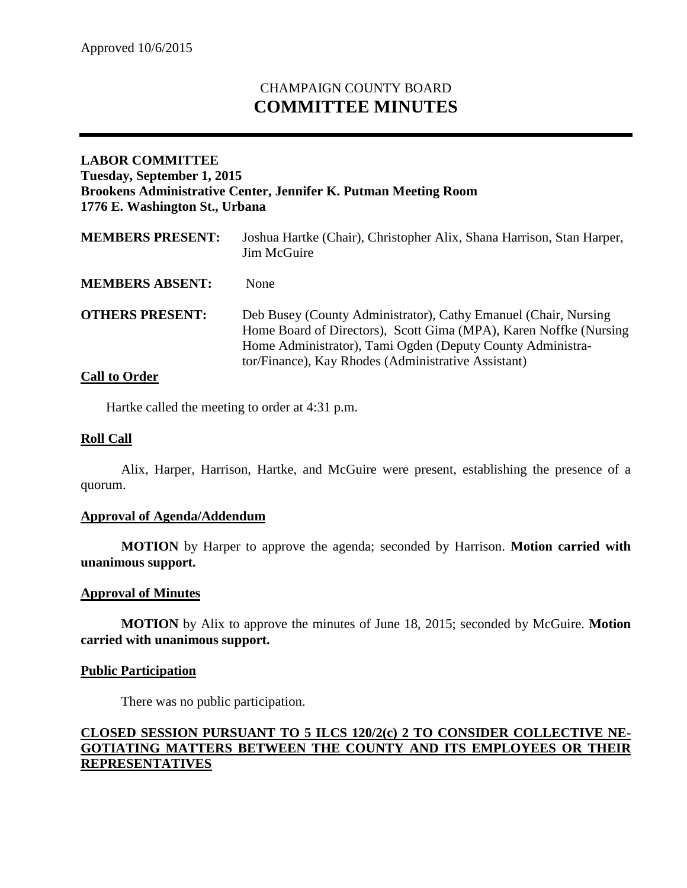# CHAMPAIGN COUNTY BOARD **COMMITTEE MINUTES**

# **LABOR COMMITTEE Tuesday, September 1, 2015 Brookens Administrative Center, Jennifer K. Putman Meeting Room 1776 E. Washington St., Urbana**

| <b>MEMBERS PRESENT:</b> | Joshua Hartke (Chair), Christopher Alix, Shana Harrison, Stan Harper,<br>Jim McGuire                                                                                                                                                                       |
|-------------------------|------------------------------------------------------------------------------------------------------------------------------------------------------------------------------------------------------------------------------------------------------------|
| <b>MEMBERS ABSENT:</b>  | None                                                                                                                                                                                                                                                       |
| <b>OTHERS PRESENT:</b>  | Deb Busey (County Administrator), Cathy Emanuel (Chair, Nursing<br>Home Board of Directors), Scott Gima (MPA), Karen Noffke (Nursing)<br>Home Administrator), Tami Ogden (Deputy County Administra-<br>tor/Finance), Kay Rhodes (Administrative Assistant) |

## **Call to Order**

Hartke called the meeting to order at 4:31 p.m.

## **Roll Call**

Alix, Harper, Harrison, Hartke, and McGuire were present, establishing the presence of a quorum.

#### **Approval of Agenda/Addendum**

**MOTION** by Harper to approve the agenda; seconded by Harrison. **Motion carried with unanimous support.**

#### **Approval of Minutes**

**MOTION** by Alix to approve the minutes of June 18, 2015; seconded by McGuire. **Motion carried with unanimous support.**

#### **Public Participation**

There was no public participation.

# **CLOSED SESSION PURSUANT TO 5 ILCS 120/2(c) 2 TO CONSIDER COLLECTIVE NE-GOTIATING MATTERS BETWEEN THE COUNTY AND ITS EMPLOYEES OR THEIR REPRESENTATIVES**